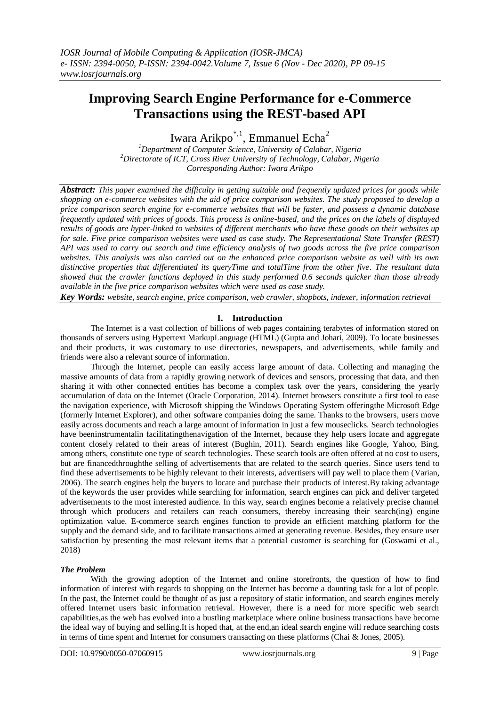# **Improving Search Engine Performance for e-Commerce Transactions using the REST-based API**

Iwara Arikpo<sup>\*,1</sup>, Emmanuel Echa<sup>2</sup>

*<sup>1</sup>Department of Computer Science, University of Calabar, Nigeria <sup>2</sup>Directorate of ICT, Cross River University of Technology, Calabar, Nigeria Corresponding Author: Iwara Arikpo*

*Abstract: This paper examined the difficulty in getting suitable and frequently updated prices for goods while shopping on e-commerce websites with the aid of price comparison websites. The study proposed to develop a price comparison search engine for e-commerce websites that will be faster, and possess a dynamic database frequently updated with prices of goods. This process is online-based, and the prices on the labels of displayed results of goods are hyper-linked to websites of different merchants who have these goods on their websites up for sale. Five price comparison websites were used as case study. The Representational State Transfer (REST) API was used to carry out search and time efficiency analysis of two goods across the five price comparison websites. This analysis was also carried out on the enhanced price comparison website as well with its own distinctive properties that differentiated its queryTime and totalTime from the other five. The resultant data showed that the crawler functions deployed in this study performed 0.6 seconds quicker than those already available in the five price comparison websites which were used as case study.*

*Key Words: website, search engine, price comparison, web crawler, shopbots, indexer, information retrieval*

# **I. Introduction**

The Internet is a vast collection of billions of web pages containing terabytes of information stored on thousands of servers using Hypertext MarkupLanguage (HTML) (Gupta and Johari, 2009). To locate businesses and their products, it was customary to use directories, newspapers, and advertisements, while family and friends were also a relevant source of information.

Through the Internet, people can easily access large amount of data. Collecting and managing the massive amounts of data from a rapidly growing network of devices and sensors, processing that data, and then sharing it with other connected entities has become a complex task over the years, considering the yearly accumulation of data on the Internet (Oracle Corporation, 2014). Internet browsers constitute a first tool to ease the navigation experience, with Microsoft shipping the Windows Operating System offeringthe Microsoft Edge (formerly Internet Explorer), and other software companies doing the same. Thanks to the browsers, users move easily across documents and reach a large amount of information in just a few mouseclicks. Search technologies have beeninstrumentalin facilitatingthenavigation of the Internet, because they help users locate and aggregate content closely related to their areas of interest (Bughin, 2011). Search engines like Google, Yahoo, Bing, among others, constitute one type of search technologies. These search tools are often offered at no cost to users, but are financedthroughthe selling of advertisements that are related to the search queries. Since users tend to find these advertisements to be highly relevant to their interests, advertisers will pay well to place them (Varian, 2006). The search engines help the buyers to locate and purchase their products of interest.By taking advantage of the keywords the user provides while searching for information, search engines can pick and deliver targeted advertisements to the most interested audience. In this way, search engines become a relatively precise channel through which producers and retailers can reach consumers, thereby increasing their search(ing) engine optimization value. E-commerce search engines function to provide an efficient matching platform for the supply and the demand side, and to facilitate transactions aimed at generating revenue. Besides, they ensure user satisfaction by presenting the most relevant items that a potential customer is searching for (Goswami et al., 2018)

## *The Problem*

With the growing adoption of the Internet and online storefronts, the question of how to find information of interest with regards to shopping on the Internet has become a daunting task for a lot of people. In the past, the Internet could be thought of as just a repository of static information, and search engines merely offered Internet users basic information retrieval. However, there is a need for more specific web search capabilities,as the web has evolved into a bustling marketplace where online business transactions have become the ideal way of buying and selling.It is hoped that, at the end,an ideal search engine will reduce searching costs in terms of time spent and Internet for consumers transacting on these platforms (Chai & Jones, 2005).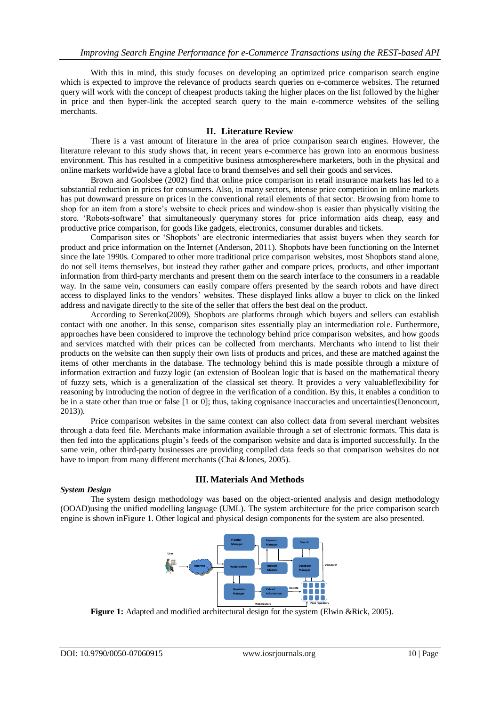With this in mind, this study focuses on developing an optimized price comparison search engine which is expected to improve the relevance of products search queries on e-commerce websites. The returned query will work with the concept of cheapest products taking the higher places on the list followed by the higher in price and then hyper-link the accepted search query to the main e-commerce websites of the selling merchants.

## **II. Literature Review**

There is a vast amount of literature in the area of price comparison search engines. However, the literature relevant to this study shows that, in recent years e-commerce has grown into an enormous business environment. This has resulted in a competitive business atmospherewhere marketers, both in the physical and online markets worldwide have a global face to brand themselves and sell their goods and services.

Brown and Goolsbee (2002) find that online price comparison in retail insurance markets has led to a substantial reduction in prices for consumers. Also, in many sectors, intense price competition in online markets has put downward pressure on prices in the conventional retail elements of that sector. Browsing from home to shop for an item from a store's website to check prices and window-shop is easier than physically visiting the store. 'Robots-software' that simultaneously querymany stores for price information aids cheap, easy and productive price comparison, for goods like gadgets, electronics, consumer durables and tickets.

Comparison sites or 'Shopbots' are electronic intermediaries that assist buyers when they search for product and price information on the Internet (Anderson, 2011). Shopbots have been functioning on the Internet since the late 1990s. Compared to other more traditional price comparison websites, most Shopbots stand alone, do not sell items themselves, but instead they rather gather and compare prices, products, and other important information from third-party merchants and present them on the search interface to the consumers in a readable way. In the same vein, consumers can easily compare offers presented by the search robots and have direct access to displayed links to the vendors' websites. These displayed links allow a buyer to click on the linked address and navigate directly to the site of the seller that offers the best deal on the product.

According to Serenko(2009), Shopbots are platforms through which buyers and sellers can establish contact with one another. In this sense, comparison sites essentially play an intermediation role. Furthermore, approaches have been considered to improve the technology behind price comparison websites, and how goods and services matched with their prices can be collected from merchants. Merchants who intend to list their products on the website can then supply their own lists of products and prices, and these are matched against the items of other merchants in the database. The technology behind this is made possible through a mixture of information extraction and fuzzy logic (an extension of Boolean logic that is based on the mathematical theory of fuzzy sets, which is a generalization of the classical set theory. It provides a very valuableflexibility for reasoning by introducing the notion of degree in the verification of a condition. By this, it enables a condition to be in a state other than true or false [1 or 0]; thus, taking cognisance inaccuracies and uncertainties(Denoncourt, 2013)).

Price comparison websites in the same context can also collect data from several merchant websites through a data feed file. Merchants make information available through a set of electronic formats. This data is then fed into the applications plugin's feeds of the comparison website and data is imported successfully. In the same vein, other third-party businesses are providing compiled data feeds so that comparison websites do not have to import from many different merchants (Chai &Jones, 2005).

## **III. Materials And Methods**

## *System Design*

The system design methodology was based on the object-oriented analysis and design methodology (OOAD)using the unified modelling language (UML). The system architecture for the price comparison search engine is shown inFigure 1. Other logical and physical design components for the system are also presented.



**Figure 1:** Adapted and modified architectural design for the system (Elwin &Rick, 2005).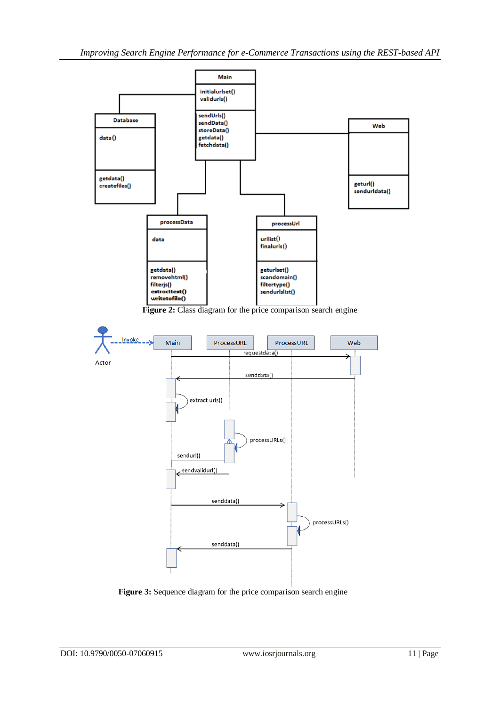

**Figure 2:** Class diagram for the price comparison search engine



**Figure 3:** Sequence diagram for the price comparison search engine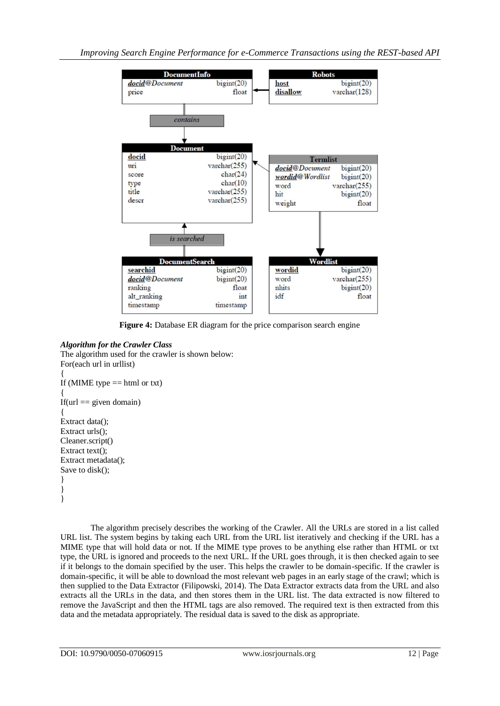

**Figure 4:** Database ER diagram for the price comparison search engine

# *Algorithm for the Crawler Class*

The algorithm used for the crawler is shown below: For(each url in urllist) { If (MIME type  $==$  html or txt) { If(url  $==$  given domain) { Extract data(); Extract urls(); Cleaner.script() Extract text(); Extract metadata(); Save to disk(); } } }

The algorithm precisely describes the working of the Crawler. All the URLs are stored in a list called URL list. The system begins by taking each URL from the URL list iteratively and checking if the URL has a MIME type that will hold data or not. If the MIME type proves to be anything else rather than HTML or txt type, the URL is ignored and proceeds to the next URL. If the URL goes through, it is then checked again to see if it belongs to the domain specified by the user. This helps the crawler to be domain-specific. If the crawler is domain-specific, it will be able to download the most relevant web pages in an early stage of the crawl; which is then supplied to the Data Extractor (Filipowski, 2014). The Data Extractor extracts data from the URL and also extracts all the URLs in the data, and then stores them in the URL list. The data extracted is now filtered to remove the JavaScript and then the HTML tags are also removed. The required text is then extracted from this data and the metadata appropriately. The residual data is saved to the disk as appropriate.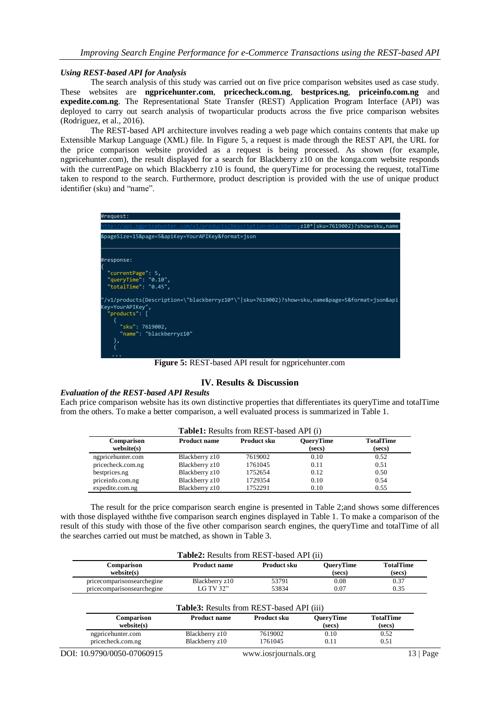#### *Using REST-based API for Analysis*

The search analysis of this study was carried out on five price comparison websites used as case study. These websites are **ngpricehunter.com**, **pricecheck.com.ng**, **bestprices.ng**, **priceinfo.com.ng** and **expedite.com.ng**. The Representational State Transfer (REST) Application Program Interface (API) was deployed to carry out search analysis of twoparticular products across the five price comparison websites (Rodriguez, et al., 2016).

The REST-based API architecture involves reading a web page which contains contents that make up Extensible Markup Language (XML) file. In Figure 5, a request is made through the REST API, the URL for the price comparison website provided as a request is being processed. As shown (for example, ngpricehunter.com), the result displayed for a search for Blackberry z10 on the konga.com website responds with the currentPage on which Blackberry z10 is found, the queryTime for processing the request, totalTime taken to respond to the search. Furthermore, product description is provided with the use of unique product identifier (sku) and "name".



**Figure 5:** REST-based API result for ngpricehunter.com

## **IV. Results & Discussion**

#### *Evaluation of the REST-based API Results*

Each price comparison website has its own distinctive properties that differentiates its queryTime and totalTime from the others. To make a better comparison, a well evaluated process is summarized in Table 1.

|                          |                     | <b>Table1:</b> Results from REST-based API (i) |                     |                            |  |
|--------------------------|---------------------|------------------------------------------------|---------------------|----------------------------|--|
| Comparison<br>website(s) | <b>Product name</b> | <b>Product sku</b>                             | QueryTime<br>(secs) | <b>TotalTime</b><br>(secs) |  |
| ngpricehunter.com        | Blackberry z10      | 7619002                                        | 0.10                | 0.52                       |  |
| pricecheck.com.ng        | Blackberry z10      | 1761045                                        | 0.11                | 0.51                       |  |
| bestprices.ng            | Blackberry z10      | 1752654                                        | 0.12                | 0.50                       |  |
| priceinfo.com.ng         | Blackberry z10      | 1729354                                        | 0.10                | 0.54                       |  |
| expedite.com.ng          | Blackberry z10      | 1752291                                        | 0.10                | 0.55                       |  |

The result for the price comparison search engine is presented in Table 2;and shows some differences with those displayed withthe five comparison search engines displayed in Table 1. To make a comparison of the result of this study with those of the five other comparison search engines, the queryTime and totalTime of all the searches carried out must be matched, as shown in Table 3.

|                                                          | <b>Table2:</b> Results from REST-based API (ii) |                    |                            |                            |
|----------------------------------------------------------|-------------------------------------------------|--------------------|----------------------------|----------------------------|
| Comparison<br>website(s)                                 | <b>Product name</b>                             | <b>Product sku</b> | <b>QueryTime</b><br>(secs) | <b>TotalTime</b><br>(secs) |
| pricecomparisonsearchegine<br>pricecomparisonsearchegine | Blackberry z10<br>LG TV 32"                     | 53791<br>53834     | 0.08<br>0.07               | 0.37<br>0.35               |
|                                                          |                                                 |                    |                            |                            |
|                                                          | Table3: Results from REST-based API (iii)       |                    |                            |                            |
| Comparison<br>website(s)                                 | <b>Product name</b>                             | Product sku        | <b>QueryTime</b><br>(secs) | <b>TotalTime</b><br>(secs) |

DOI: 10.9790/0050-07060915 www.iosrjournals.org 13 | Page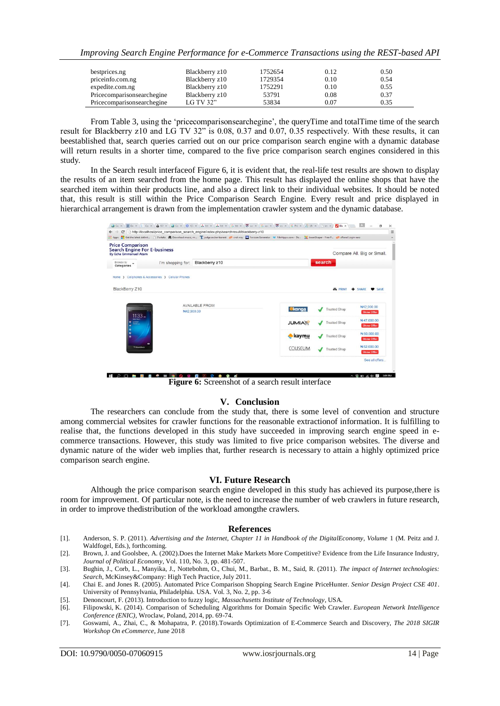*Improving Search Engine Performance for e-Commerce Transactions using the REST-based API*

| bestprices.ng              | Blackberry z10 | 1752654 | 0.12 | 0.50 |
|----------------------------|----------------|---------|------|------|
| priceinfo.com.ng           | Blackberry z10 | 1729354 | 0.10 | 0.54 |
| expedite.com.ng            | Blackberry z10 | 1752291 | 0.10 | 0.55 |
| Pricecomparisonsearchegine | Blackberry z10 | 53791   | 0.08 | 0.37 |
| Pricecomparisonsearchegine | LG TV 32"      | 53834   | 0.07 | 0.35 |

From Table 3, using the 'pricecomparisonsearchegine', the queryTime and totalTime time of the search result for Blackberry z10 and LG TV 32" is 0.08, 0.37 and 0.07, 0.35 respectively. With these results, it can beestablished that, search queries carried out on our price comparison search engine with a dynamic database will return results in a shorter time, compared to the five price comparison search engines considered in this study.

In the Search result interfaceof Figure 6, it is evident that, the real-life test results are shown to display the results of an item searched from the home page. This result has displayed the online shops that have the searched item within their products line, and also a direct link to their individual websites. It should be noted that, this result is still within the Price Comparison Search Engine. Every result and price displayed in hierarchical arrangement is drawn from the implementation crawler system and the dynamic database.

| $\mathbf{C}$<br>$\leftarrow$ $\rightarrow$                                                     |                                                   | http://localhost/price_comparison_search_engine/index.php/searchresult/blackberry-z10 |                |                     |                                  |
|------------------------------------------------------------------------------------------------|---------------------------------------------------|---------------------------------------------------------------------------------------|----------------|---------------------|----------------------------------|
| <b>Price Comparison</b><br><b>Search Engine For E-business</b><br><b>By Echa Emmanuel Atam</b> |                                                   |                                                                                       |                |                     | Compare All. Big or Small.       |
| Browse by<br>Categories                                                                        | I'm shopping for:                                 | Blackberry z10<br>search                                                              |                |                     |                                  |
|                                                                                                | Home > Cellphones & Accessories > Cellular Phones |                                                                                       |                |                     |                                  |
| BlackBerry Z10                                                                                 |                                                   |                                                                                       |                | <b>EL PRINT</b>     | $+$ SHARE<br>SAVE                |
|                                                                                                |                                                   | <b>AVAILABLE FROM</b>                                                                 |                |                     | N42,900.00                       |
| $11:33 -$<br><b>Wed Mark</b><br>$=$<br>F                                                       |                                                   | N42,900.00                                                                            | konga          | <b>Trusted Shop</b> | <b>Show Offer</b>                |
|                                                                                                |                                                   |                                                                                       | <b>JUMIAL</b>  | <b>Trusted Shop</b> | N47.000.00<br><b>Show Offer</b>  |
|                                                                                                |                                                   |                                                                                       |                |                     | N 50.000.00                      |
| 3.5                                                                                            |                                                   |                                                                                       | kaymu          | <b>Trusted Shop</b> | <b>Show Offer</b>                |
| <b><i>GratackBerry</i></b>                                                                     | $\bullet$                                         |                                                                                       | <b>COUSEUM</b> | <b>Trusted Shop</b> | N 52,000.00<br><b>Show Offer</b> |

**Figure 6:** Screenshot of a search result interface

#### **V. Conclusion**

The researchers can conclude from the study that, there is some level of convention and structure among commercial websites for crawler functions for the reasonable extractionof information. It is fulfilling to realise that, the functions developed in this study have succeeded in improving search engine speed in ecommerce transactions. However, this study was limited to five price comparison websites. The diverse and dynamic nature of the wider web implies that, further research is necessary to attain a highly optimized price comparison search engine.

#### **VI. Future Research**

Although the price comparison search engine developed in this study has achieved its purpose,there is room for improvement. Of particular note, is the need to increase the number of web crawlers in future research, in order to improve thedistribution of the workload amongthe crawlers.

#### **References**

- [1]. Anderson, S. P. (2011). *Advertising and the Internet, Chapter 11 in Handbook of the DigitalEconomy, Volume* 1 (M. Peitz and J. Waldfogel, Eds.), forthcoming.
- [2]. Brown, J. and Goolsbee, A. (2002).Does the Internet Make Markets More Competitive? Evidence from the Life Insurance Industry, *Journal of Political Economy,* Vol. 110, No. 3, pp. 481-507.
- [3]. Bughin, J., Corb, L., Manyika, J., Nottebohm, O., Chui, M., Barbat., B. M., Said, R. (2011). *The impact of Internet technologies: Search*, McKinsey&Company: High Tech Practice, July 2011.
- [4]. Chai E. and Jones R. (2005). Automated Price Comparison Shopping Search Engine PriceHunter. *Senior Design Project CSE 401*. University of Pennsylvania, Philadelphia. USA. Vol. 3, No. 2, pp. 3-6
- [5]. Denoncourt, F. (2013). Introduction to fuzzy logic, *Massachusetts Institute of Technology*, USA.
- [6]. Filipowski, K. (2014). Comparison of Scheduling Algorithms for Domain Specific Web Crawler. *European Network Intelligence Conference (ENIC)*, Wroclaw, Poland, 2014, pp. 69-74.
- [7]. Goswami, A., Zhai, C., & Mohapatra, P. (2018).Towards Optimization of E-Commerce Search and Discovery, *The 2018 SIGIR Workshop On eCommerce*, June 2018